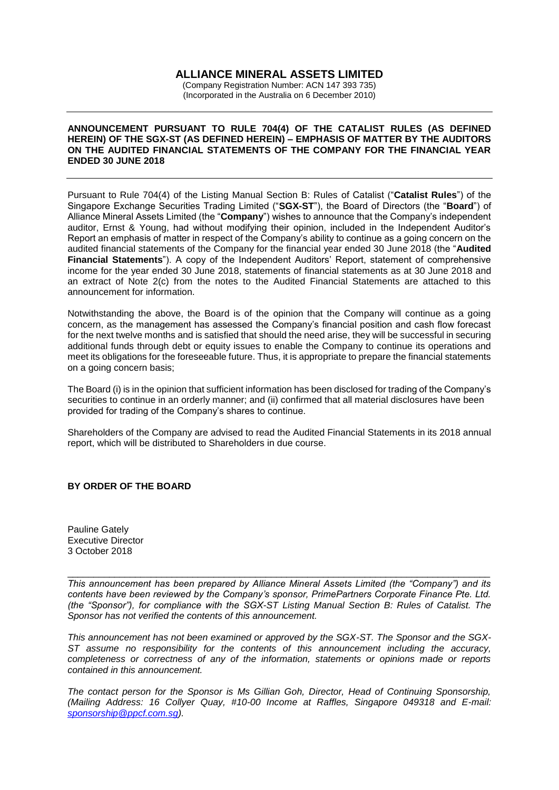### **ALLIANCE MINERAL ASSETS LIMITED**

(Company Registration Number: ACN 147 393 735) (Incorporated in the Australia on 6 December 2010)

### **ANNOUNCEMENT PURSUANT TO RULE 704(4) OF THE CATALIST RULES (AS DEFINED HEREIN) OF THE SGX-ST (AS DEFINED HEREIN) – EMPHASIS OF MATTER BY THE AUDITORS ON THE AUDITED FINANCIAL STATEMENTS OF THE COMPANY FOR THE FINANCIAL YEAR ENDED 30 JUNE 2018**

Pursuant to Rule 704(4) of the Listing Manual Section B: Rules of Catalist ("**Catalist Rules**") of the Singapore Exchange Securities Trading Limited ("**SGX-ST**"), the Board of Directors (the "**Board**") of Alliance Mineral Assets Limited (the "**Company**") wishes to announce that the Company's independent auditor, Ernst & Young, had without modifying their opinion, included in the Independent Auditor's Report an emphasis of matter in respect of the Company's ability to continue as a going concern on the audited financial statements of the Company for the financial year ended 30 June 2018 (the "**Audited Financial Statements**"). A copy of the Independent Auditors' Report, statement of comprehensive income for the year ended 30 June 2018, statements of financial statements as at 30 June 2018 and an extract of Note 2(c) from the notes to the Audited Financial Statements are attached to this announcement for information.

Notwithstanding the above, the Board is of the opinion that the Company will continue as a going concern, as the management has assessed the Company's financial position and cash flow forecast for the next twelve months and is satisfied that should the need arise, they will be successful in securing additional funds through debt or equity issues to enable the Company to continue its operations and meet its obligations for the foreseeable future. Thus, it is appropriate to prepare the financial statements on a going concern basis;

The Board (i) is in the opinion that sufficient information has been disclosed for trading of the Company's securities to continue in an orderly manner; and (ii) confirmed that all material disclosures have been provided for trading of the Company's shares to continue.

Shareholders of the Company are advised to read the Audited Financial Statements in its 2018 annual report, which will be distributed to Shareholders in due course.

### **BY ORDER OF THE BOARD**

Pauline Gately Executive Director 3 October 2018

*This announcement has been prepared by Alliance Mineral Assets Limited (the "Company") and its contents have been reviewed by the Company's sponsor, PrimePartners Corporate Finance Pte. Ltd. (the "Sponsor"), for compliance with the SGX-ST Listing Manual Section B: Rules of Catalist. The Sponsor has not verified the contents of this announcement.* 

\_\_\_\_\_\_\_\_\_\_\_\_\_\_\_\_\_\_\_\_\_\_\_\_\_\_\_\_\_\_\_\_\_\_\_\_\_\_\_\_\_\_\_\_\_\_\_\_\_\_\_\_\_\_\_\_\_\_\_\_\_\_\_\_\_\_\_\_\_\_\_\_\_\_\_\_\_\_\_\_\_

*This announcement has not been examined or approved by the SGX-ST. The Sponsor and the SGX-ST assume no responsibility for the contents of this announcement including the accuracy, completeness or correctness of any of the information, statements or opinions made or reports contained in this announcement.* 

*The contact person for the Sponsor is Ms Gillian Goh, Director, Head of Continuing Sponsorship, (Mailing Address: 16 Collyer Quay, #10-00 Income at Raffles, Singapore 049318 and E-mail: [sponsorship@ppcf.com.sg\)](mailto:sponsorship@ppcf.com.sg).*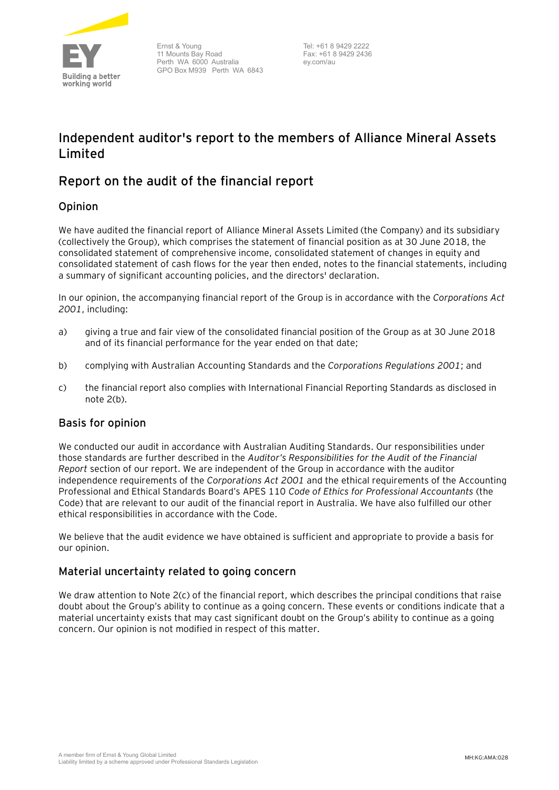

Ernst & Young 11 Mounts Bay Road Perth WA 6000 Australia GPO Box M939 Perth WA 6843

Tel: +61 8 9429 2222 Fax: +61 8 9429 2436 ey.com/au

# **Independent auditor's report to the members of Alliance Mineral Assets Limited**

# Report on the audit of the financial report

## Opinion

We have audited the financial report of Alliance Mineral Assets Limited (the Company) and its subsidiary (collectively the Group), which comprises the statement of financial position as at 30 June 2018, the consolidated statement of comprehensive income, consolidated statement of changes in equity and consolidated statement of cash flows for the year then ended, notes to the financial statements, including a summary of significant accounting policies, and the directors' declaration.

In our opinion, the accompanying financial report of the Group is in accordance with the *Corporations Act 2001*, including:

- a) giving a true and fair view of the consolidated financial position of the Group as at 30 June 2018 and of its financial performance for the year ended on that date;
- b) complying with Australian Accounting Standards and the *Corporations Regulations 2001*; and
- c) the financial report also complies with International Financial Reporting Standards as disclosed in note 2(b).

## Basis for opinion

We conducted our audit in accordance with Australian Auditing Standards. Our responsibilities under those standards are further described in the *Auditor's Responsibilities for the Audit of the Financial Report* section of our report. We are independent of the Group in accordance with the auditor independence requirements of the *Corporations Act 2001* and the ethical requirements of the Accounting Professional and Ethical Standards Board's APES 110 *Code of Ethics for Professional Accountants* (the Code) that are relevant to our audit of the financial report in Australia. We have also fulfilled our other ethical responsibilities in accordance with the Code.

We believe that the audit evidence we have obtained is sufficient and appropriate to provide a basis for our opinion.

### Material uncertainty related to going concern

We draw attention to Note 2(c) of the financial report, which describes the principal conditions that raise doubt about the Group's ability to continue as a going concern. These events or conditions indicate that a material uncertainty exists that may cast significant doubt on the Group's ability to continue as a going concern. Our opinion is not modified in respect of this matter.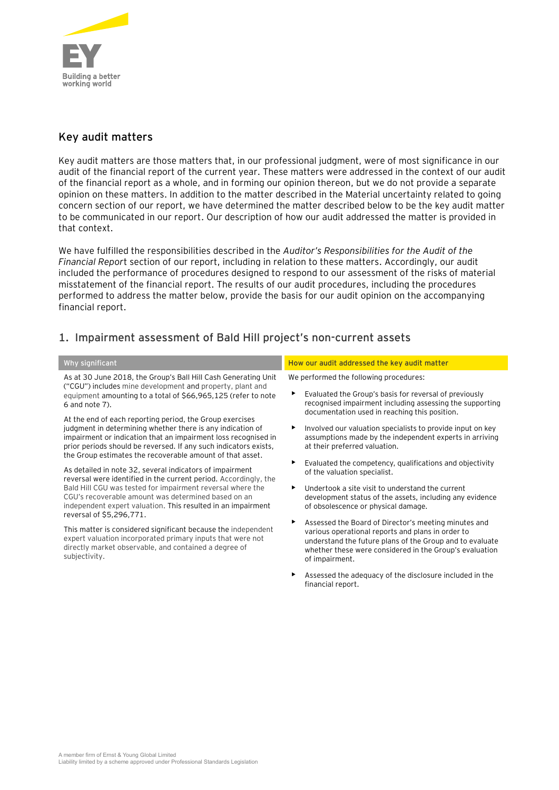

# Key audit matters

Key audit matters are those matters that, in our professional judgment, were of most significance in our audit of the financial report of the current year. These matters were addressed in the context of our audit of the financial report as a whole, and in forming our opinion thereon, but we do not provide a separate opinion on these matters. In addition to the matter described in the Material uncertainty related to going concern section of our report, we have determined the matter described below to be the key audit matter to be communicated in our report. Our description of how our audit addressed the matter is provided in that context.

We have fulfilled the responsibilities described in the *Auditor's Responsibilities for the Audit of the Financial Repor*t section of our report, including in relation to these matters. Accordingly, our audit included the performance of procedures designed to respond to our assessment of the risks of material misstatement of the financial report. The results of our audit procedures, including the procedures performed to address the matter below, provide the basis for our audit opinion on the accompanying financial report.

# **1. Impairment assessment of Bald Hill project's non-current assets**

As at 30 June 2018, the Group's Ball Hill Cash Generating Unit ("CGU") includes mine development and property, plant and equipment amounting to a total of \$66,965,125 (refer to note 6 and note 7).

At the end of each reporting period, the Group exercises judgment in determining whether there is any indication of impairment or indication that an impairment loss recognised in prior periods should be reversed. If any such indicators exists, the Group estimates the recoverable amount of that asset.

As detailed in note 32, several indicators of impairment reversal were identified in the current period. Accordingly, the Bald Hill CGU was tested for impairment reversal where the CGU's recoverable amount was determined based on an independent expert valuation. This resulted in an impairment reversal of \$5,296,771.

This matter is considered significant because the independent expert valuation incorporated primary inputs that were not directly market observable, and contained a degree of subjectivity.

### **Why significant How our audit addressed the key audit matter**

We performed the following procedures:

- Evaluated the Group's basis for reversal of previously recognised impairment including assessing the supporting documentation used in reaching this position.
- Involved our valuation specialists to provide input on key assumptions made by the independent experts in arriving at their preferred valuation.
- Evaluated the competency, qualifications and objectivity of the valuation specialist.
- Undertook a site visit to understand the current development status of the assets, including any evidence of obsolescence or physical damage.
- Assessed the Board of Director's meeting minutes and various operational reports and plans in order to understand the future plans of the Group and to evaluate whether these were considered in the Group's evaluation of impairment.
- Assessed the adequacy of the disclosure included in the financial report.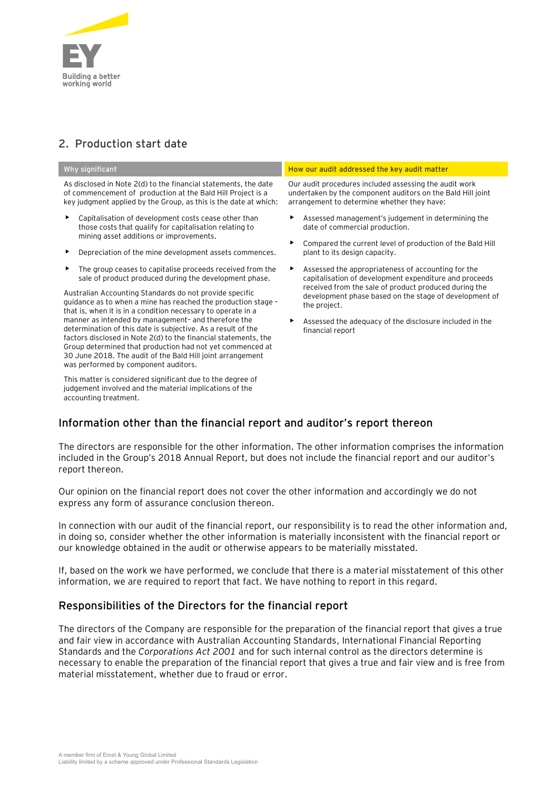

# **2. Production start date**

As disclosed in Note 2(d) to the financial statements, the date of commencement of production at the Bald Hill Project is a key judgment applied by the Group, as this is the date at which:

- Capitalisation of development costs cease other than those costs that qualify for capitalisation relating to mining asset additions or improvements.
- Depreciation of the mine development assets commences.
- The group ceases to capitalise proceeds received from the sale of product produced during the development phase.

Australian Accounting Standards do not provide specific guidance as to when a mine has reached the production stage – that is, when it is in a condition necessary to operate in a manner as intended by management– and therefore the determination of this date is subjective. As a result of the factors disclosed in Note 2(d) to the financial statements, the Group determined that production had not yet commenced at 30 June 2018. The audit of the Bald Hill joint arrangement was performed by component auditors.

This matter is considered significant due to the degree of judgement involved and the material implications of the accounting treatment.

### **Why significant How our audit addressed the key audit matter**

Our audit procedures included assessing the audit work undertaken by the component auditors on the Bald Hill joint arrangement to determine whether they have:

- Assessed management's judgement in determining the date of commercial production.
- Compared the current level of production of the Bald Hill plant to its design capacity.
- Assessed the appropriateness of accounting for the capitalisation of development expenditure and proceeds received from the sale of product produced during the development phase based on the stage of development of the project.
- Assessed the adequacy of the disclosure included in the financial report

## Information other than the financial report and auditor's report thereon

The directors are responsible for the other information. The other information comprises the information included in the Group's 2018 Annual Report, but does not include the financial report and our auditor's report thereon.

Our opinion on the financial report does not cover the other information and accordingly we do not express any form of assurance conclusion thereon.

In connection with our audit of the financial report, our responsibility is to read the other information and, in doing so, consider whether the other information is materially inconsistent with the financial report or our knowledge obtained in the audit or otherwise appears to be materially misstated.

If, based on the work we have performed, we conclude that there is a material misstatement of this other information, we are required to report that fact. We have nothing to report in this regard.

### Responsibilities of the Directors for the financial report

The directors of the Company are responsible for the preparation of the financial report that gives a true and fair view in accordance with Australian Accounting Standards, International Financial Reporting Standards and the *Corporations Act 2001* and for such internal control as the directors determine is necessary to enable the preparation of the financial report that gives a true and fair view and is free from material misstatement, whether due to fraud or error.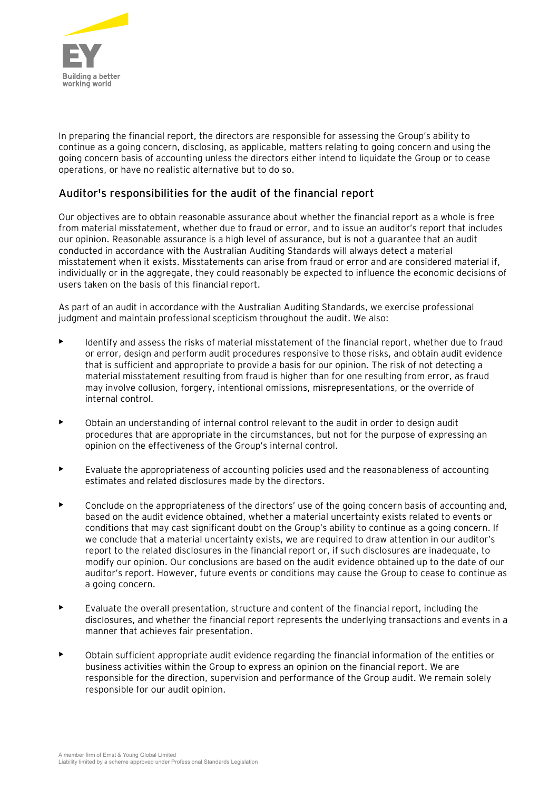

In preparing the financial report, the directors are responsible for assessing the Group's ability to continue as a going concern, disclosing, as applicable, matters relating to going concern and using the going concern basis of accounting unless the directors either intend to liquidate the Group or to cease operations, or have no realistic alternative but to do so.

## Auditor's responsibilities for the audit of the financial report

Our objectives are to obtain reasonable assurance about whether the financial report as a whole is free from material misstatement, whether due to fraud or error, and to issue an auditor's report that includes our opinion. Reasonable assurance is a high level of assurance, but is not a guarantee that an audit conducted in accordance with the Australian Auditing Standards will always detect a material misstatement when it exists. Misstatements can arise from fraud or error and are considered material if, individually or in the aggregate, they could reasonably be expected to influence the economic decisions of users taken on the basis of this financial report.

As part of an audit in accordance with the Australian Auditing Standards, we exercise professional judgment and maintain professional scepticism throughout the audit. We also:

- Identify and assess the risks of material misstatement of the financial report, whether due to fraud or error, design and perform audit procedures responsive to those risks, and obtain audit evidence that is sufficient and appropriate to provide a basis for our opinion. The risk of not detecting a material misstatement resulting from fraud is higher than for one resulting from error, as fraud may involve collusion, forgery, intentional omissions, misrepresentations, or the override of internal control.
- Obtain an understanding of internal control relevant to the audit in order to design audit procedures that are appropriate in the circumstances, but not for the purpose of expressing an opinion on the effectiveness of the Group's internal control.
- Evaluate the appropriateness of accounting policies used and the reasonableness of accounting estimates and related disclosures made by the directors.
- Conclude on the appropriateness of the directors' use of the going concern basis of accounting and, based on the audit evidence obtained, whether a material uncertainty exists related to events or conditions that may cast significant doubt on the Group's ability to continue as a going concern. If we conclude that a material uncertainty exists, we are required to draw attention in our auditor's report to the related disclosures in the financial report or, if such disclosures are inadequate, to modify our opinion. Our conclusions are based on the audit evidence obtained up to the date of our auditor's report. However, future events or conditions may cause the Group to cease to continue as a going concern.
- Evaluate the overall presentation, structure and content of the financial report, including the disclosures, and whether the financial report represents the underlying transactions and events in a manner that achieves fair presentation.
- Obtain sufficient appropriate audit evidence regarding the financial information of the entities or business activities within the Group to express an opinion on the financial report. We are responsible for the direction, supervision and performance of the Group audit. We remain solely responsible for our audit opinion.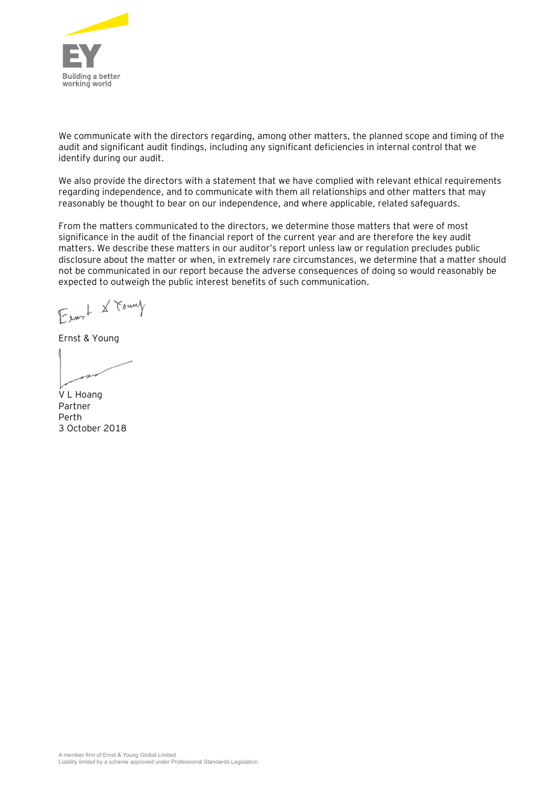

We communicate with the directors regarding, among other matters, the planned scope and timing of the audit and significant audit findings, including any significant deficiencies in internal control that we identify during our audit.

We also provide the directors with a statement that we have complied with relevant ethical requirements regarding independence, and to communicate with them all relationships and other matters that may reasonably be thought to bear on our independence, and where applicable, related safeguards.

From the matters communicated to the directors, we determine those matters that were of most significance in the audit of the financial report of the current year and are therefore the key audit matters. We describe these matters in our auditor's report unless law or regulation precludes public disclosure about the matter or when, in extremely rare circumstances, we determine that a matter should not be communicated in our report because the adverse consequences of doing so would reasonably be expected to outweigh the public interest benefits of such communication.

Exast & Found

Ernst & Young

V L Hoang Partner Perth 3 October 2018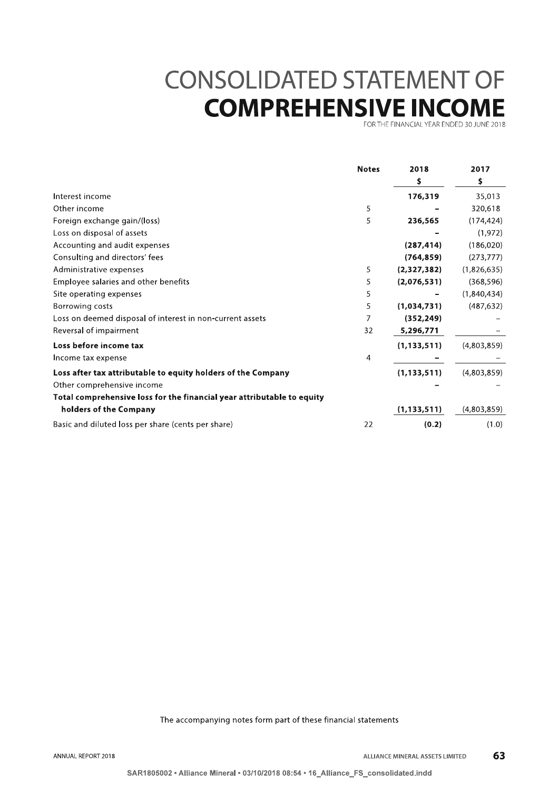# **CONSOLIDATED STATEMENT OF COMPREHENSIVE INCOME**

FOR THE FINANCIAL YEAR ENDED 30 JUNE 2018

|                                                                        | <b>Notes</b> | 2018<br>\$    | 2017<br>\$  |
|------------------------------------------------------------------------|--------------|---------------|-------------|
|                                                                        |              |               |             |
| Interest income                                                        |              | 176,319       | 35,013      |
| Other income                                                           | 5            |               | 320,618     |
| Foreign exchange gain/(loss)                                           | 5            | 236,565       | (174, 424)  |
| Loss on disposal of assets                                             |              |               | (1, 972)    |
| Accounting and audit expenses                                          |              | (287, 414)    | (186, 020)  |
| Consulting and directors' fees                                         |              | (764, 859)    | (273, 777)  |
| Administrative expenses                                                | 5            | (2,327,382)   | (1,826,635) |
| Employee salaries and other benefits                                   | 5            | (2,076,531)   | (368, 596)  |
| Site operating expenses                                                | 5            |               | (1,840,434) |
| Borrowing costs                                                        | 5            | (1,034,731)   | (487, 632)  |
| Loss on deemed disposal of interest in non-current assets              | 7            | (352, 249)    |             |
| Reversal of impairment                                                 | 32           | 5,296,771     |             |
| Loss before income tax                                                 |              | (1, 133, 511) | (4,803,859) |
| Income tax expense                                                     | 4            |               |             |
| Loss after tax attributable to equity holders of the Company           |              | (1, 133, 511) | (4,803,859) |
| Other comprehensive income                                             |              |               |             |
| Total comprehensive loss for the financial year attributable to equity |              |               |             |
| holders of the Company                                                 |              | (1, 133, 511) | (4,803,859) |
| Basic and diluted loss per share (cents per share)                     | 22           | (0.2)         | (1.0)       |

The accompanying notes form part of these financial statements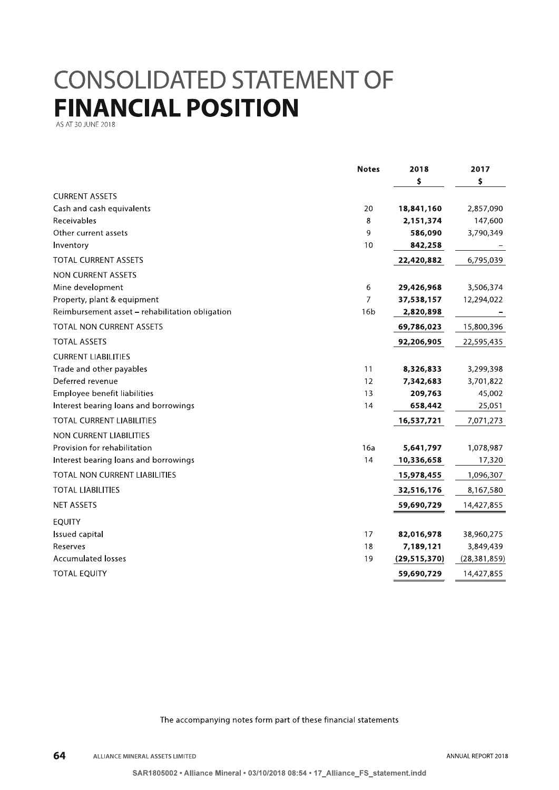# **CONSOLIDATED STATEMENT OF FINANCIAL POSITION**

AS AT 30 JUNE 2018

|                                                 | <b>Notes</b>    | 2018           | 2017           |
|-------------------------------------------------|-----------------|----------------|----------------|
|                                                 |                 | \$             | \$             |
| <b>CURRENT ASSETS</b>                           |                 |                |                |
| Cash and cash equivalents                       | 20              | 18,841,160     | 2,857,090      |
| Receivables                                     | 8               | 2,151,374      | 147,600        |
| Other current assets                            | 9               | 586,090        | 3,790,349      |
| Inventory                                       | 10              | 842,258        |                |
| <b>TOTAL CURRENT ASSETS</b>                     |                 | 22,420,882     | 6,795,039      |
| NON CURRENT ASSETS                              |                 |                |                |
| Mine development                                | 6               | 29,426,968     | 3,506,374      |
| Property, plant & equipment                     | 7               | 37,538,157     | 12,294,022     |
| Reimbursement asset - rehabilitation obligation | 16 <sub>b</sub> | 2,820,898      |                |
| TOTAL NON CURRENT ASSETS                        |                 | 69,786,023     | 15,800,396     |
| <b>TOTAL ASSETS</b>                             |                 | 92,206,905     | 22,595,435     |
| <b>CURRENT LIABILITIES</b>                      |                 |                |                |
| Trade and other payables                        | 11              | 8,326,833      | 3,299,398      |
| Deferred revenue                                | 12              | 7,342,683      | 3,701,822      |
| Employee benefit liabilities                    | 13              | 209,763        | 45,002         |
| Interest bearing loans and borrowings           | 14              | 658,442        | 25,051         |
| <b>TOTAL CURRENT LIABILITIES</b>                |                 | 16,537,721     | 7,071,273      |
| <b>NON CURRENT LIABILITIES</b>                  |                 |                |                |
| Provision for rehabilitation                    | 16a             | 5,641,797      | 1,078,987      |
| Interest bearing loans and borrowings           | 14              | 10,336,658     | 17,320         |
| <b>TOTAL NON CURRENT LIABILITIES</b>            |                 | 15,978,455     | 1,096,307      |
| <b>TOTAL LIABILITIES</b>                        |                 | 32,516,176     | 8,167,580      |
| <b>NET ASSETS</b>                               |                 | 59,690,729     | 14,427,855     |
| <b>EQUITY</b>                                   |                 |                |                |
| <b>Issued capital</b>                           | 17              | 82,016,978     | 38,960,275     |
| Reserves                                        | 18              | 7,189,121      | 3,849,439      |
| <b>Accumulated losses</b>                       | 19              | (29, 515, 370) | (28, 381, 859) |
| <b>TOTAL EQUITY</b>                             |                 | 59,690,729     | 14,427,855     |

The accompanying notes form part of these financial statements